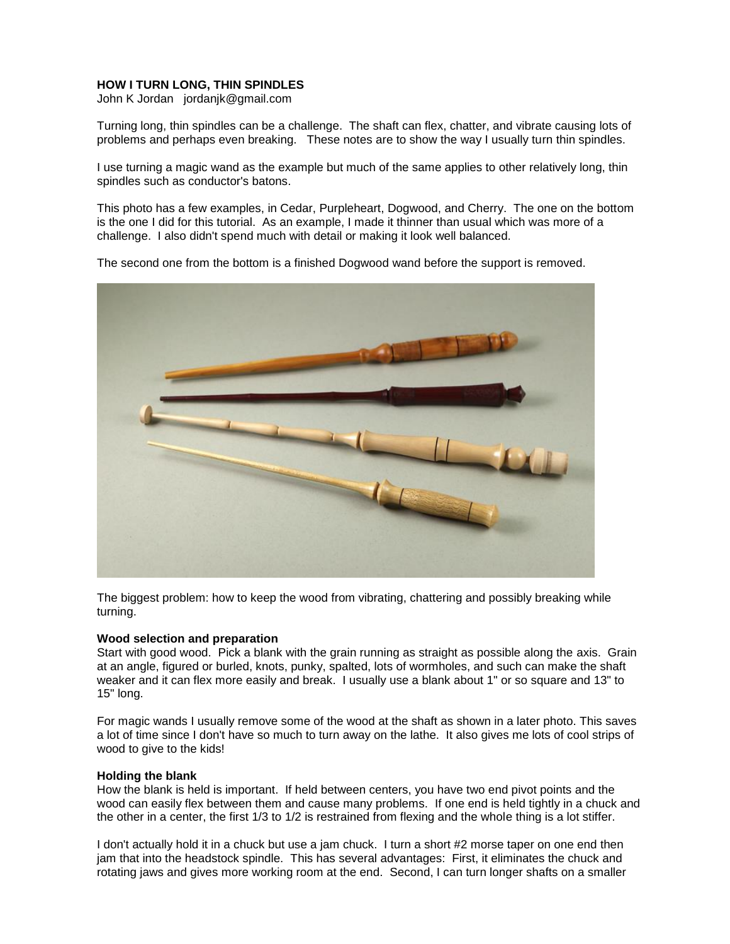# **HOW I TURN LONG, THIN SPINDLES**

John K Jordan jordanjk@gmail.com

Turning long, thin spindles can be a challenge. The shaft can flex, chatter, and vibrate causing lots of problems and perhaps even breaking. These notes are to show the way I usually turn thin spindles.

I use turning a magic wand as the example but much of the same applies to other relatively long, thin spindles such as conductor's batons.

This photo has a few examples, in Cedar, Purpleheart, Dogwood, and Cherry. The one on the bottom is the one I did for this tutorial. As an example, I made it thinner than usual which was more of a challenge. I also didn't spend much with detail or making it look well balanced.

The second one from the bottom is a finished Dogwood wand before the support is removed.



The biggest problem: how to keep the wood from vibrating, chattering and possibly breaking while turning.

## **Wood selection and preparation**

Start with good wood. Pick a blank with the grain running as straight as possible along the axis. Grain at an angle, figured or burled, knots, punky, spalted, lots of wormholes, and such can make the shaft weaker and it can flex more easily and break. I usually use a blank about 1" or so square and 13" to 15" long.

For magic wands I usually remove some of the wood at the shaft as shown in a later photo. This saves a lot of time since I don't have so much to turn away on the lathe. It also gives me lots of cool strips of wood to give to the kids!

#### **Holding the blank**

How the blank is held is important. If held between centers, you have two end pivot points and the wood can easily flex between them and cause many problems. If one end is held tightly in a chuck and the other in a center, the first 1/3 to 1/2 is restrained from flexing and the whole thing is a lot stiffer.

I don't actually hold it in a chuck but use a jam chuck. I turn a short #2 morse taper on one end then jam that into the headstock spindle. This has several advantages: First, it eliminates the chuck and rotating jaws and gives more working room at the end. Second, I can turn longer shafts on a smaller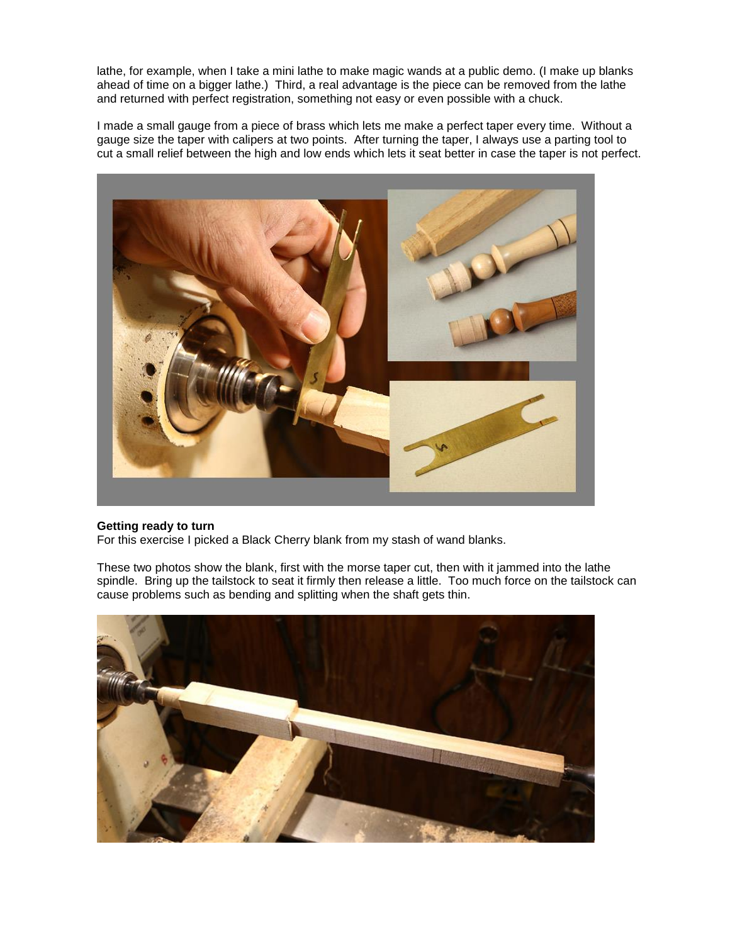lathe, for example, when I take a mini lathe to make magic wands at a public demo. (I make up blanks ahead of time on a bigger lathe.) Third, a real advantage is the piece can be removed from the lathe and returned with perfect registration, something not easy or even possible with a chuck.

I made a small gauge from a piece of brass which lets me make a perfect taper every time. Without a gauge size the taper with calipers at two points. After turning the taper, I always use a parting tool to cut a small relief between the high and low ends which lets it seat better in case the taper is not perfect.



## **Getting ready to turn**

For this exercise I picked a Black Cherry blank from my stash of wand blanks.

These two photos show the blank, first with the morse taper cut, then with it jammed into the lathe spindle. Bring up the tailstock to seat it firmly then release a little. Too much force on the tailstock can cause problems such as bending and splitting when the shaft gets thin.

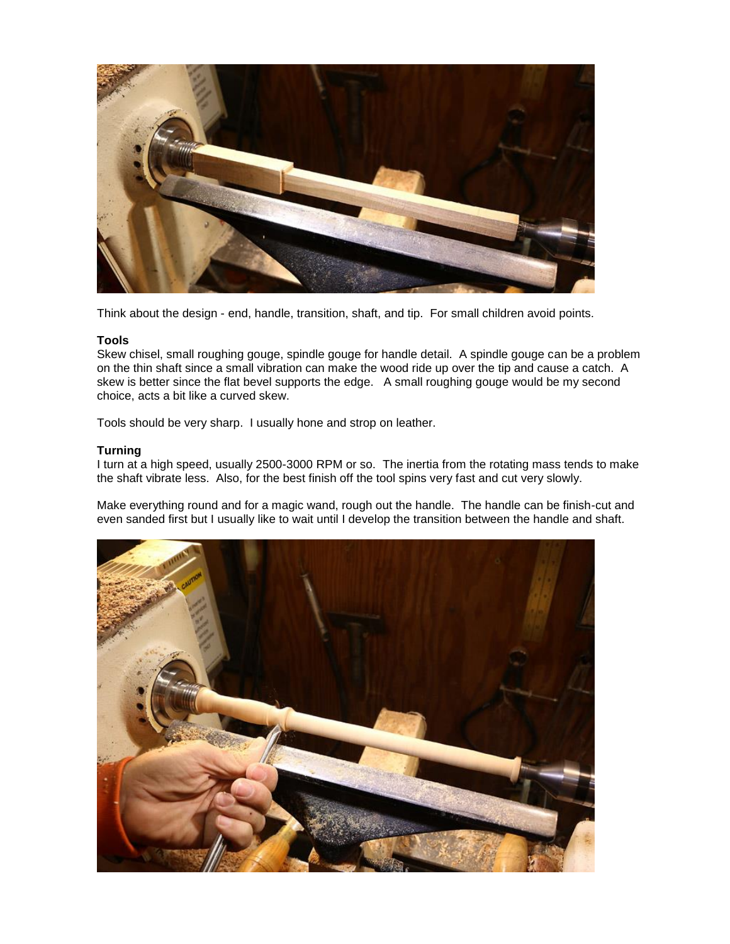

Think about the design - end, handle, transition, shaft, and tip. For small children avoid points.

### **Tools**

Skew chisel, small roughing gouge, spindle gouge for handle detail. A spindle gouge can be a problem on the thin shaft since a small vibration can make the wood ride up over the tip and cause a catch. A skew is better since the flat bevel supports the edge. A small roughing gouge would be my second choice, acts a bit like a curved skew.

Tools should be very sharp. I usually hone and strop on leather.

### **Turning**

I turn at a high speed, usually 2500-3000 RPM or so. The inertia from the rotating mass tends to make the shaft vibrate less. Also, for the best finish off the tool spins very fast and cut very slowly.

Make everything round and for a magic wand, rough out the handle. The handle can be finish-cut and even sanded first but I usually like to wait until I develop the transition between the handle and shaft.

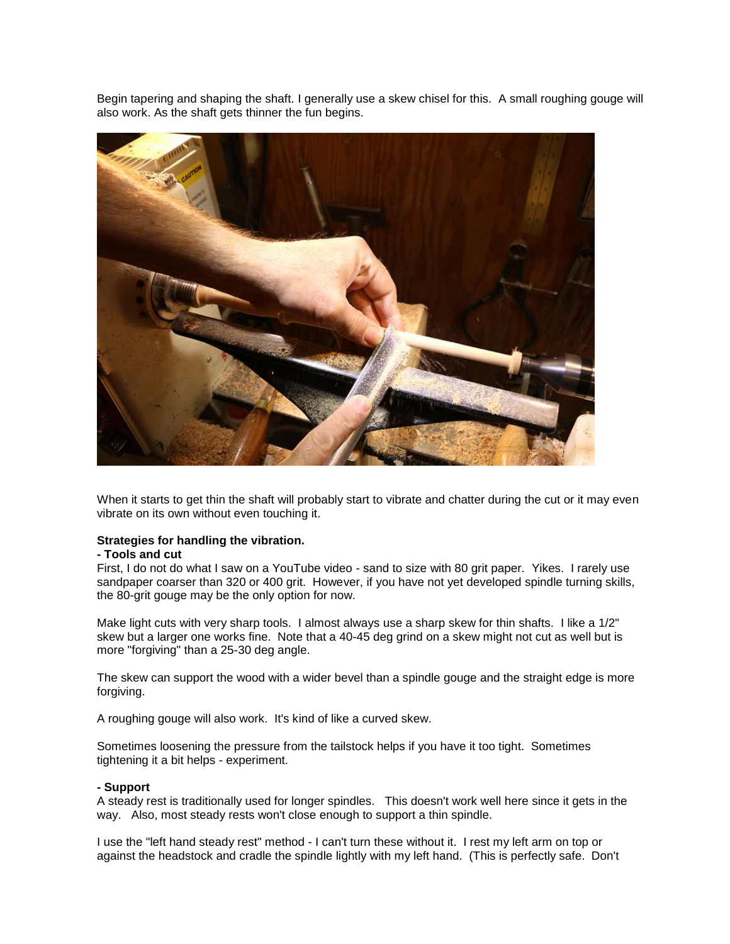Begin tapering and shaping the shaft. I generally use a skew chisel for this. A small roughing gouge will also work. As the shaft gets thinner the fun begins.



When it starts to get thin the shaft will probably start to vibrate and chatter during the cut or it may even vibrate on its own without even touching it.

#### **Strategies for handling the vibration.**

#### **- Tools and cut**

First, I do not do what I saw on a YouTube video - sand to size with 80 grit paper. Yikes. I rarely use sandpaper coarser than 320 or 400 grit. However, if you have not yet developed spindle turning skills, the 80-grit gouge may be the only option for now.

Make light cuts with very sharp tools. I almost always use a sharp skew for thin shafts. I like a 1/2" skew but a larger one works fine. Note that a 40-45 deg grind on a skew might not cut as well but is more "forgiving" than a 25-30 deg angle.

The skew can support the wood with a wider bevel than a spindle gouge and the straight edge is more forgiving.

A roughing gouge will also work. It's kind of like a curved skew.

Sometimes loosening the pressure from the tailstock helps if you have it too tight. Sometimes tightening it a bit helps - experiment.

### **- Support**

A steady rest is traditionally used for longer spindles. This doesn't work well here since it gets in the way. Also, most steady rests won't close enough to support a thin spindle.

I use the "left hand steady rest" method - I can't turn these without it. I rest my left arm on top or against the headstock and cradle the spindle lightly with my left hand. (This is perfectly safe. Don't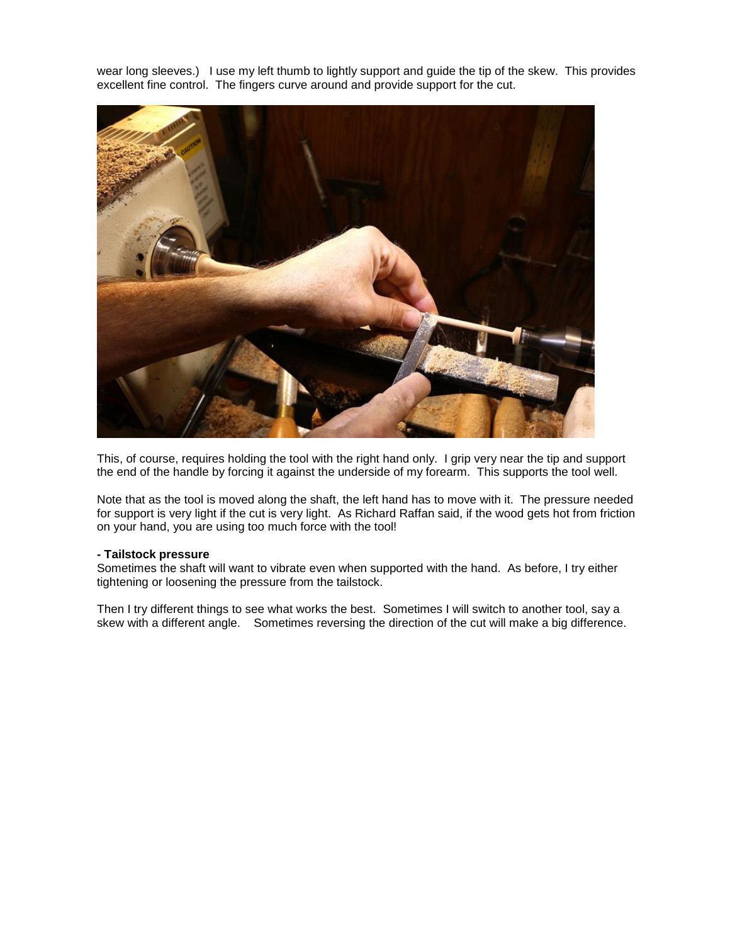wear long sleeves.) I use my left thumb to lightly support and guide the tip of the skew. This provides excellent fine control. The fingers curve around and provide support for the cut.



This, of course, requires holding the tool with the right hand only. I grip very near the tip and support the end of the handle by forcing it against the underside of my forearm. This supports the tool well.

Note that as the tool is moved along the shaft, the left hand has to move with it. The pressure needed for support is very light if the cut is very light. As Richard Raffan said, if the wood gets hot from friction on your hand, you are using too much force with the tool!

#### **- Tailstock pressure**

Sometimes the shaft will want to vibrate even when supported with the hand. As before, I try either tightening or loosening the pressure from the tailstock.

Then I try different things to see what works the best. Sometimes I will switch to another tool, say a skew with a different angle. Sometimes reversing the direction of the cut will make a big difference.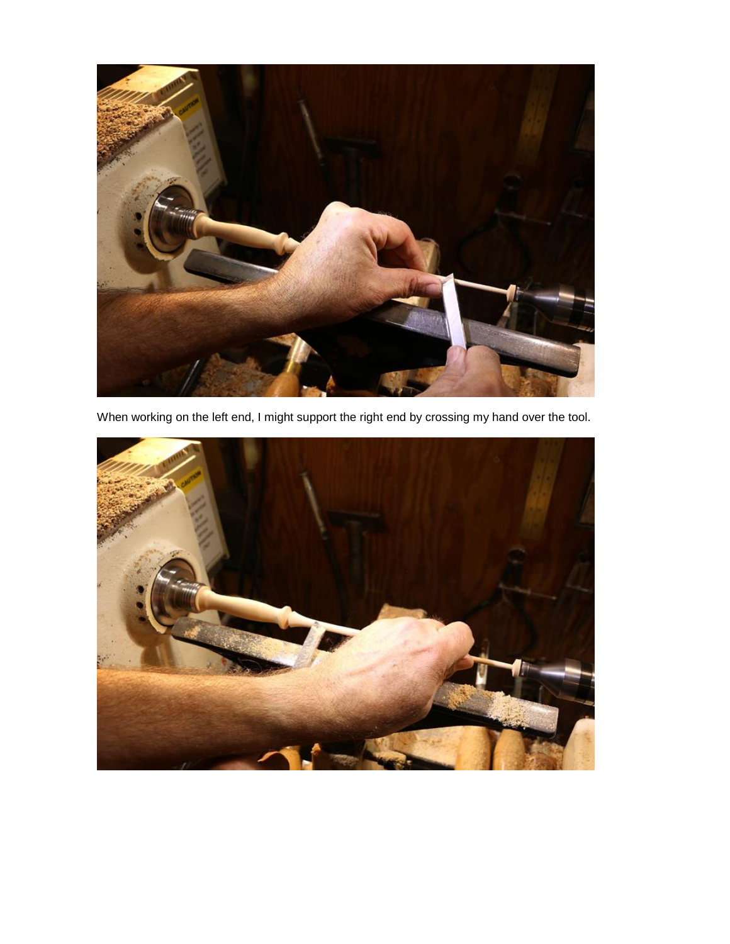

When working on the left end, I might support the right end by crossing my hand over the tool.

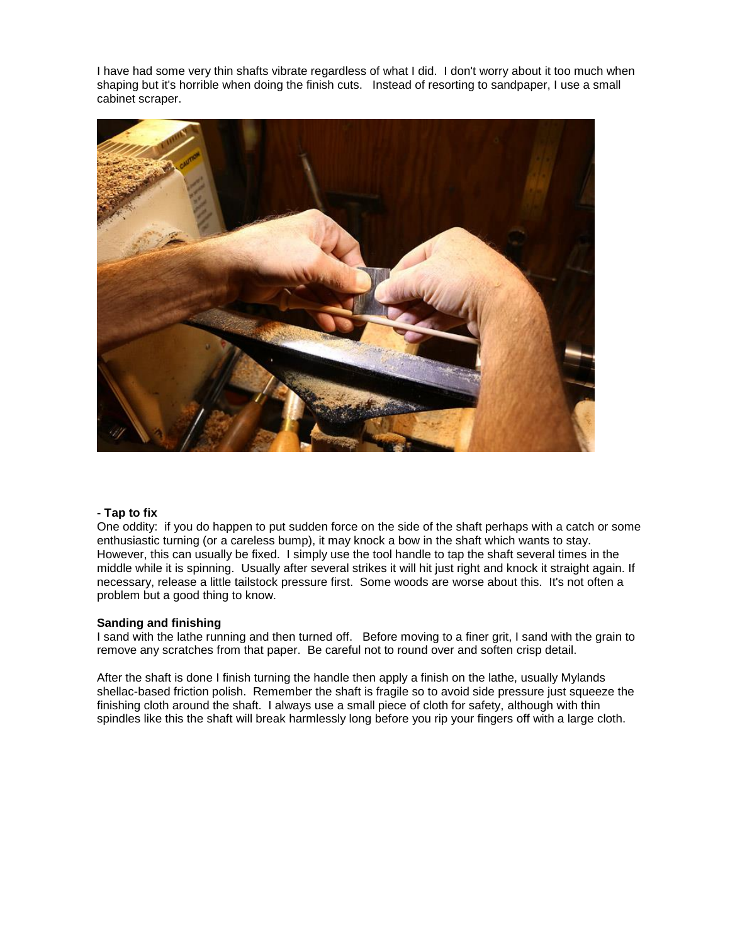I have had some very thin shafts vibrate regardless of what I did. I don't worry about it too much when shaping but it's horrible when doing the finish cuts. Instead of resorting to sandpaper, I use a small cabinet scraper.



## **- Tap to fix**

One oddity: if you do happen to put sudden force on the side of the shaft perhaps with a catch or some enthusiastic turning (or a careless bump), it may knock a bow in the shaft which wants to stay. However, this can usually be fixed. I simply use the tool handle to tap the shaft several times in the middle while it is spinning. Usually after several strikes it will hit just right and knock it straight again. If necessary, release a little tailstock pressure first. Some woods are worse about this. It's not often a problem but a good thing to know.

## **Sanding and finishing**

I sand with the lathe running and then turned off. Before moving to a finer grit, I sand with the grain to remove any scratches from that paper. Be careful not to round over and soften crisp detail.

After the shaft is done I finish turning the handle then apply a finish on the lathe, usually Mylands shellac-based friction polish. Remember the shaft is fragile so to avoid side pressure just squeeze the finishing cloth around the shaft. I always use a small piece of cloth for safety, although with thin spindles like this the shaft will break harmlessly long before you rip your fingers off with a large cloth.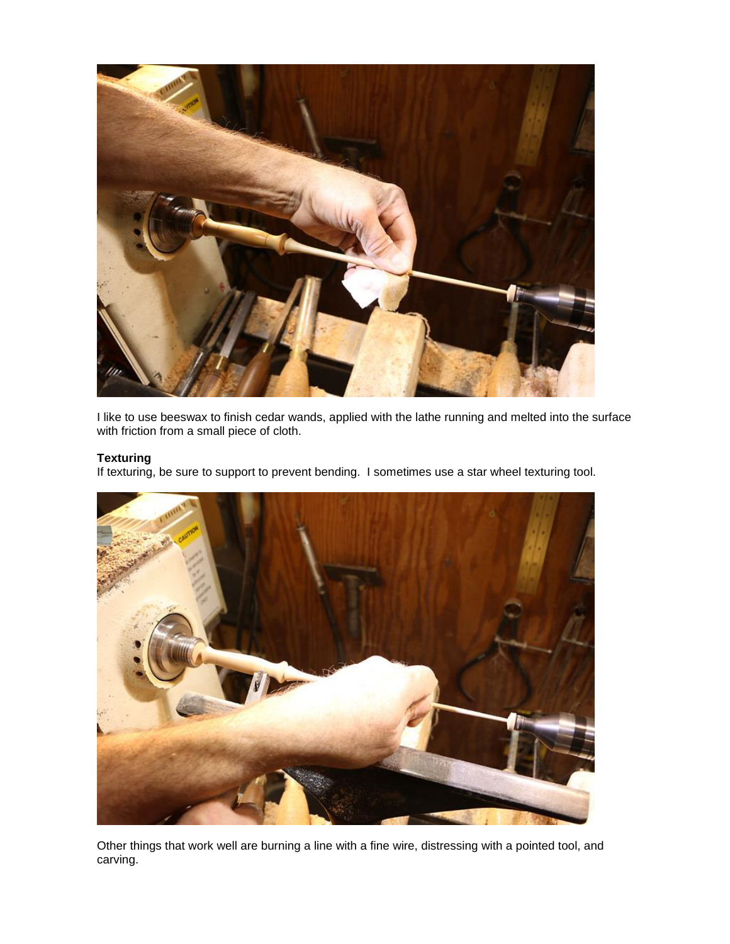

I like to use beeswax to finish cedar wands, applied with the lathe running and melted into the surface with friction from a small piece of cloth.

# **Texturing**

If texturing, be sure to support to prevent bending. I sometimes use a star wheel texturing tool.



Other things that work well are burning a line with a fine wire, distressing with a pointed tool, and carving.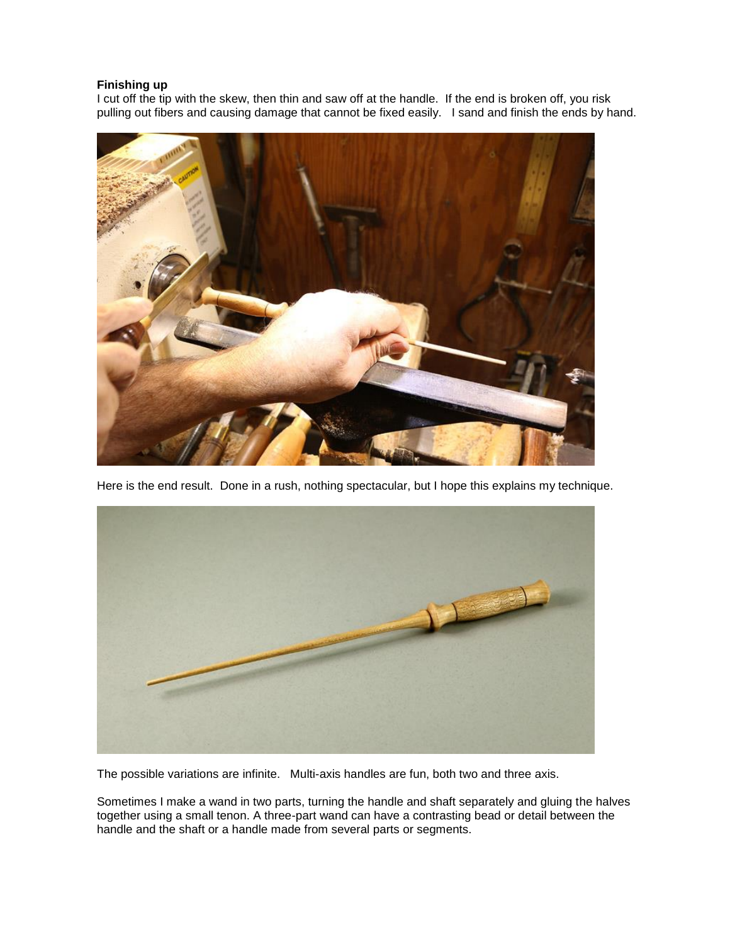# **Finishing up**

I cut off the tip with the skew, then thin and saw off at the handle. If the end is broken off, you risk pulling out fibers and causing damage that cannot be fixed easily. I sand and finish the ends by hand.



Here is the end result. Done in a rush, nothing spectacular, but I hope this explains my technique.



The possible variations are infinite. Multi-axis handles are fun, both two and three axis.

Sometimes I make a wand in two parts, turning the handle and shaft separately and gluing the halves together using a small tenon. A three-part wand can have a contrasting bead or detail between the handle and the shaft or a handle made from several parts or segments.